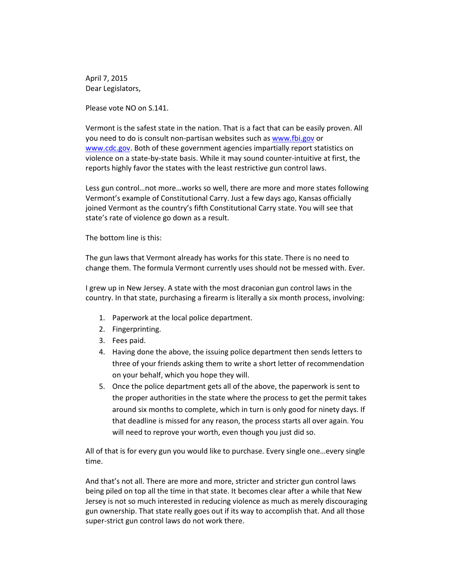April 7, 2015 Dear Legislators,

Please vote NO on S.141.

Vermont is the safest state in the nation. That is a fact that can be easily proven. All you need to do is consult non-partisan websites such as [www.fbi.gov](http://www.fbi.gov/) or [www.cdc.gov.](http://www.cdc.gov/) Both of these government agencies impartially report statistics on violence on a state-by-state basis. While it may sound counter-intuitive at first, the reports highly favor the states with the least restrictive gun control laws.

Less gun control…not more…works so well, there are more and more states following Vermont's example of Constitutional Carry. Just a few days ago, Kansas officially joined Vermont as the country's fifth Constitutional Carry state. You will see that state's rate of violence go down as a result.

The bottom line is this:

The gun laws that Vermont already has works for this state. There is no need to change them. The formula Vermont currently uses should not be messed with. Ever*.*

I grew up in New Jersey. A state with the most draconian gun control laws in the country. In that state, purchasing a firearm is literally a six month process, involving:

- 1. Paperwork at the local police department.
- 2. Fingerprinting.
- 3. Fees paid.
- 4. Having done the above, the issuing police department then sends letters to three of your friends asking them to write a short letter of recommendation on your behalf, which you hope they will.
- 5. Once the police department gets all of the above, the paperwork is sent to the proper authorities in the state where the process to get the permit takes around six months to complete, which in turn is only good for ninety days. If that deadline is missed for any reason, the process starts all over again. You will need to reprove your worth, even though you just did so.

All of that is for every gun you would like to purchase. Every single one…every single time.

And that's not all. There are more and more, stricter and stricter gun control laws being piled on top all the time in that state. It becomes clear after a while that New Jersey is not so much interested in reducing violence as much as merely discouraging gun ownership. That state really goes out if its way to accomplish that. And all those super-strict gun control laws do not work there.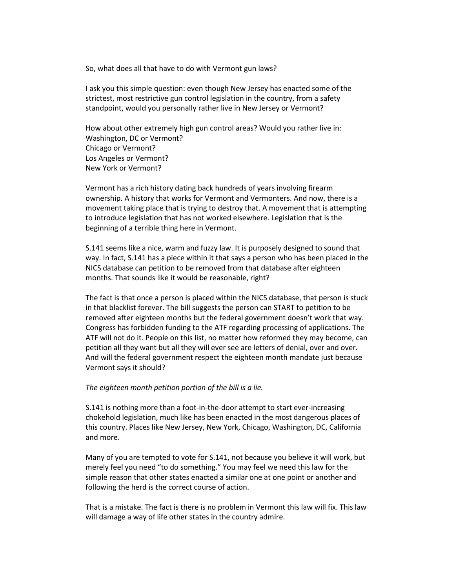So, what does all that have to do with Vermont gun laws?

I ask you this simple question: even though New Jersey has enacted some of the strictest, most restrictive gun control legislation in the country, from a safety standpoint, would you personally rather live in New Jersey or Vermont?

How about other extremely high gun control areas? Would you rather live in: Washington, DC or Vermont? Chicago or Vermont? Los Angeles or Vermont? New York or Vermont?

Vermont has a rich history dating back hundreds of years involving firearm ownership. A history that works for Vermont and Vermonters. And now, there is a movement taking place that is trying to destroy that. A movement that is attempting to introduce legislation that has not worked elsewhere. Legislation that is the beginning of a terrible thing here in Vermont.

S.141 seems like a nice, warm and fuzzy law. It is purposely designed to sound that way. In fact, S.141 has a piece within it that says a person who has been placed in the NICS database can petition to be removed from that database after eighteen months. That sounds like it would be reasonable, right?

The fact is that once a person is placed within the NICS database, that person is stuck in that blacklist forever. The bill suggests the person can START to petition to be removed after eighteen months but the federal government doesn't work that way. Congress has forbidden funding to the ATF regarding processing of applications. The ATF will not do it. People on this list, no matter how reformed they may become, can petition all they want but all they will ever see are letters of denial, over and over. And will the federal government respect the eighteen month mandate just because Vermont says it should?

## *The eighteen month petition portion of the bill is a lie.*

S.141 is nothing more than a foot-in-the-door attempt to start ever-increasing chokehold legislation, much like has been enacted in the most dangerous places of this country. Places like New Jersey, New York, Chicago, Washington, DC, California and more.

Many of you are tempted to vote for S.141, not because you believe it will work, but merely feel you need "to do something." You may feel we need this law for the simple reason that other states enacted a similar one at one point or another and following the herd is the correct course of action.

That is a mistake. The fact is there is no problem in Vermont this law will fix. This law will damage a way of life other states in the country admire.